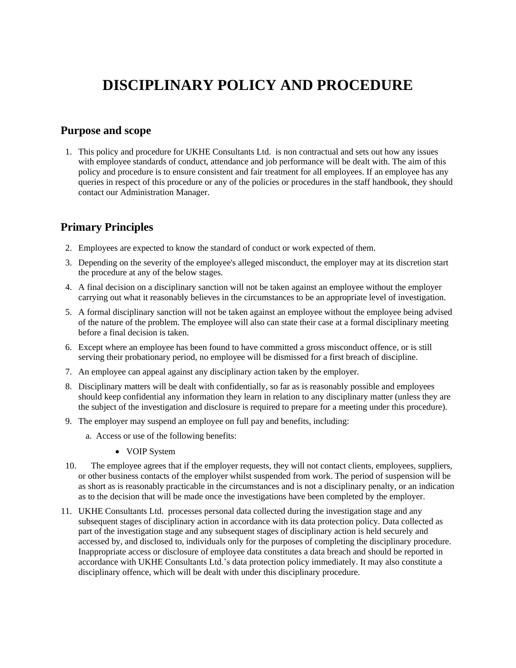# **DISCIPLINARY POLICY AND PROCEDURE**

#### **Purpose and scope**

1. This policy and procedure for UKHE Consultants Ltd. is non contractual and sets out how any issues with employee standards of conduct, attendance and job performance will be dealt with. The aim of this policy and procedure is to ensure consistent and fair treatment for all employees. If an employee has any queries in respect of this procedure or any of the policies or procedures in the staff handbook, they should contact our Administration Manager.

#### **Primary Principles**

- 2. Employees are expected to know the standard of conduct or work expected of them.
- 3. Depending on the severity of the employee's alleged misconduct, the employer may at its discretion start the procedure at any of the below stages.
- 4. A final decision on a disciplinary sanction will not be taken against an employee without the employer carrying out what it reasonably believes in the circumstances to be an appropriate level of investigation.
- 5. A formal disciplinary sanction will not be taken against an employee without the employee being advised of the nature of the problem. The employee will also can state their case at a formal disciplinary meeting before a final decision is taken.
- 6. Except where an employee has been found to have committed a gross misconduct offence, or is still serving their probationary period, no employee will be dismissed for a first breach of discipline.
- 7. An employee can appeal against any disciplinary action taken by the employer.
- 8. Disciplinary matters will be dealt with confidentially, so far as is reasonably possible and employees should keep confidential any information they learn in relation to any disciplinary matter (unless they are the subject of the investigation and disclosure is required to prepare for a meeting under this procedure).
- 9. The employer may suspend an employee on full pay and benefits, including:
	- a. Access or use of the following benefits:
		- VOIP System
- 10. The employee agrees that if the employer requests, they will not contact clients, employees, suppliers, or other business contacts of the employer whilst suspended from work. The period of suspension will be as short as is reasonably practicable in the circumstances and is not a disciplinary penalty, or an indication as to the decision that will be made once the investigations have been completed by the employer.
- 11. UKHE Consultants Ltd. processes personal data collected during the investigation stage and any subsequent stages of disciplinary action in accordance with its data protection policy. Data collected as part of the investigation stage and any subsequent stages of disciplinary action is held securely and accessed by, and disclosed to, individuals only for the purposes of completing the disciplinary procedure. Inappropriate access or disclosure of employee data constitutes a data breach and should be reported in accordance with UKHE Consultants Ltd.'s data protection policy immediately. It may also constitute a disciplinary offence, which will be dealt with under this disciplinary procedure.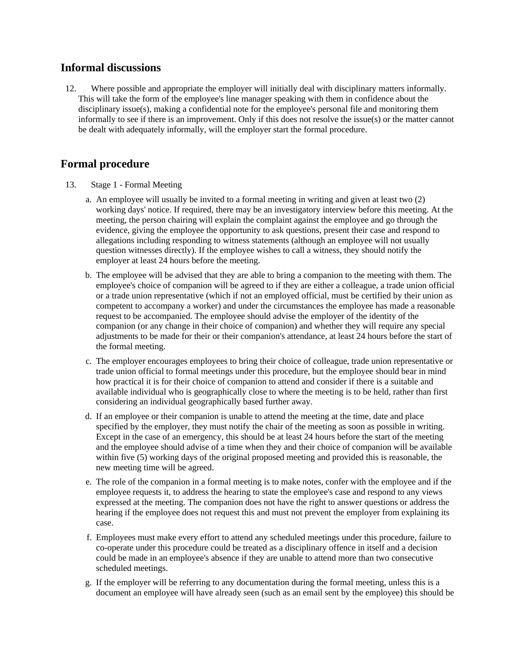#### **Informal discussions**

12. Where possible and appropriate the employer will initially deal with disciplinary matters informally. This will take the form of the employee's line manager speaking with them in confidence about the disciplinary issue(s), making a confidential note for the employee's personal file and monitoring them informally to see if there is an improvement. Only if this does not resolve the issue(s) or the matter cannot be dealt with adequately informally, will the employer start the formal procedure.

### **Formal procedure**

- 13. Stage 1 Formal Meeting
	- a. An employee will usually be invited to a formal meeting in writing and given at least two (2) working days' notice. If required, there may be an investigatory interview before this meeting. At the meeting, the person chairing will explain the complaint against the employee and go through the evidence, giving the employee the opportunity to ask questions, present their case and respond to allegations including responding to witness statements (although an employee will not usually question witnesses directly). If the employee wishes to call a witness, they should notify the employer at least 24 hours before the meeting.
	- b. The employee will be advised that they are able to bring a companion to the meeting with them. The employee's choice of companion will be agreed to if they are either a colleague, a trade union official or a trade union representative (which if not an employed official, must be certified by their union as competent to accompany a worker) and under the circumstances the employee has made a reasonable request to be accompanied. The employee should advise the employer of the identity of the companion (or any change in their choice of companion) and whether they will require any special adjustments to be made for their or their companion's attendance, at least 24 hours before the start of the formal meeting.
	- c. The employer encourages employees to bring their choice of colleague, trade union representative or trade union official to formal meetings under this procedure, but the employee should bear in mind how practical it is for their choice of companion to attend and consider if there is a suitable and available individual who is geographically close to where the meeting is to be held, rather than first considering an individual geographically based further away.
	- d. If an employee or their companion is unable to attend the meeting at the time, date and place specified by the employer, they must notify the chair of the meeting as soon as possible in writing. Except in the case of an emergency, this should be at least 24 hours before the start of the meeting and the employee should advise of a time when they and their choice of companion will be available within five (5) working days of the original proposed meeting and provided this is reasonable, the new meeting time will be agreed.
	- e. The role of the companion in a formal meeting is to make notes, confer with the employee and if the employee requests it, to address the hearing to state the employee's case and respond to any views expressed at the meeting. The companion does not have the right to answer questions or address the hearing if the employee does not request this and must not prevent the employer from explaining its case.
	- f. Employees must make every effort to attend any scheduled meetings under this procedure, failure to co-operate under this procedure could be treated as a disciplinary offence in itself and a decision could be made in an employee's absence if they are unable to attend more than two consecutive scheduled meetings.
	- g. If the employer will be referring to any documentation during the formal meeting, unless this is a document an employee will have already seen (such as an email sent by the employee) this should be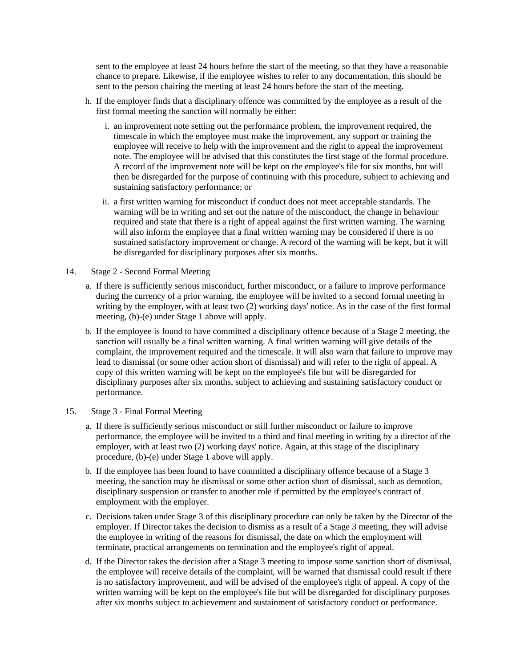sent to the employee at least 24 hours before the start of the meeting, so that they have a reasonable chance to prepare. Likewise, if the employee wishes to refer to any documentation, this should be sent to the person chairing the meeting at least 24 hours before the start of the meeting.

- h. If the employer finds that a disciplinary offence was committed by the employee as a result of the first formal meeting the sanction will normally be either:
	- i. an improvement note setting out the performance problem, the improvement required, the timescale in which the employee must make the improvement, any support or training the employee will receive to help with the improvement and the right to appeal the improvement note. The employee will be advised that this constitutes the first stage of the formal procedure. A record of the improvement note will be kept on the employee's file for six months, but will then be disregarded for the purpose of continuing with this procedure, subject to achieving and sustaining satisfactory performance; or
	- ii. a first written warning for misconduct if conduct does not meet acceptable standards. The warning will be in writing and set out the nature of the misconduct, the change in behaviour required and state that there is a right of appeal against the first written warning. The warning will also inform the employee that a final written warning may be considered if there is no sustained satisfactory improvement or change. A record of the warning will be kept, but it will be disregarded for disciplinary purposes after six months.
- 14. Stage 2 Second Formal Meeting
	- a. If there is sufficiently serious misconduct, further misconduct, or a failure to improve performance during the currency of a prior warning, the employee will be invited to a second formal meeting in writing by the employer, with at least two (2) working days' notice. As in the case of the first formal meeting, (b)-(e) under Stage 1 above will apply.
	- b. If the employee is found to have committed a disciplinary offence because of a Stage 2 meeting, the sanction will usually be a final written warning. A final written warning will give details of the complaint, the improvement required and the timescale. It will also warn that failure to improve may lead to dismissal (or some other action short of dismissal) and will refer to the right of appeal. A copy of this written warning will be kept on the employee's file but will be disregarded for disciplinary purposes after six months, subject to achieving and sustaining satisfactory conduct or performance.
- 15. Stage 3 Final Formal Meeting
	- a. If there is sufficiently serious misconduct or still further misconduct or failure to improve performance, the employee will be invited to a third and final meeting in writing by a director of the employer, with at least two (2) working days' notice. Again, at this stage of the disciplinary procedure, (b)-(e) under Stage 1 above will apply.
	- b. If the employee has been found to have committed a disciplinary offence because of a Stage 3 meeting, the sanction may be dismissal or some other action short of dismissal, such as demotion, disciplinary suspension or transfer to another role if permitted by the employee's contract of employment with the employer.
	- c. Decisions taken under Stage 3 of this disciplinary procedure can only be taken by the Director of the employer. If Director takes the decision to dismiss as a result of a Stage 3 meeting, they will advise the employee in writing of the reasons for dismissal, the date on which the employment will terminate, practical arrangements on termination and the employee's right of appeal.
	- d. If the Director takes the decision after a Stage 3 meeting to impose some sanction short of dismissal, the employee will receive details of the complaint, will be warned that dismissal could result if there is no satisfactory improvement, and will be advised of the employee's right of appeal. A copy of the written warning will be kept on the employee's file but will be disregarded for disciplinary purposes after six months subject to achievement and sustainment of satisfactory conduct or performance.